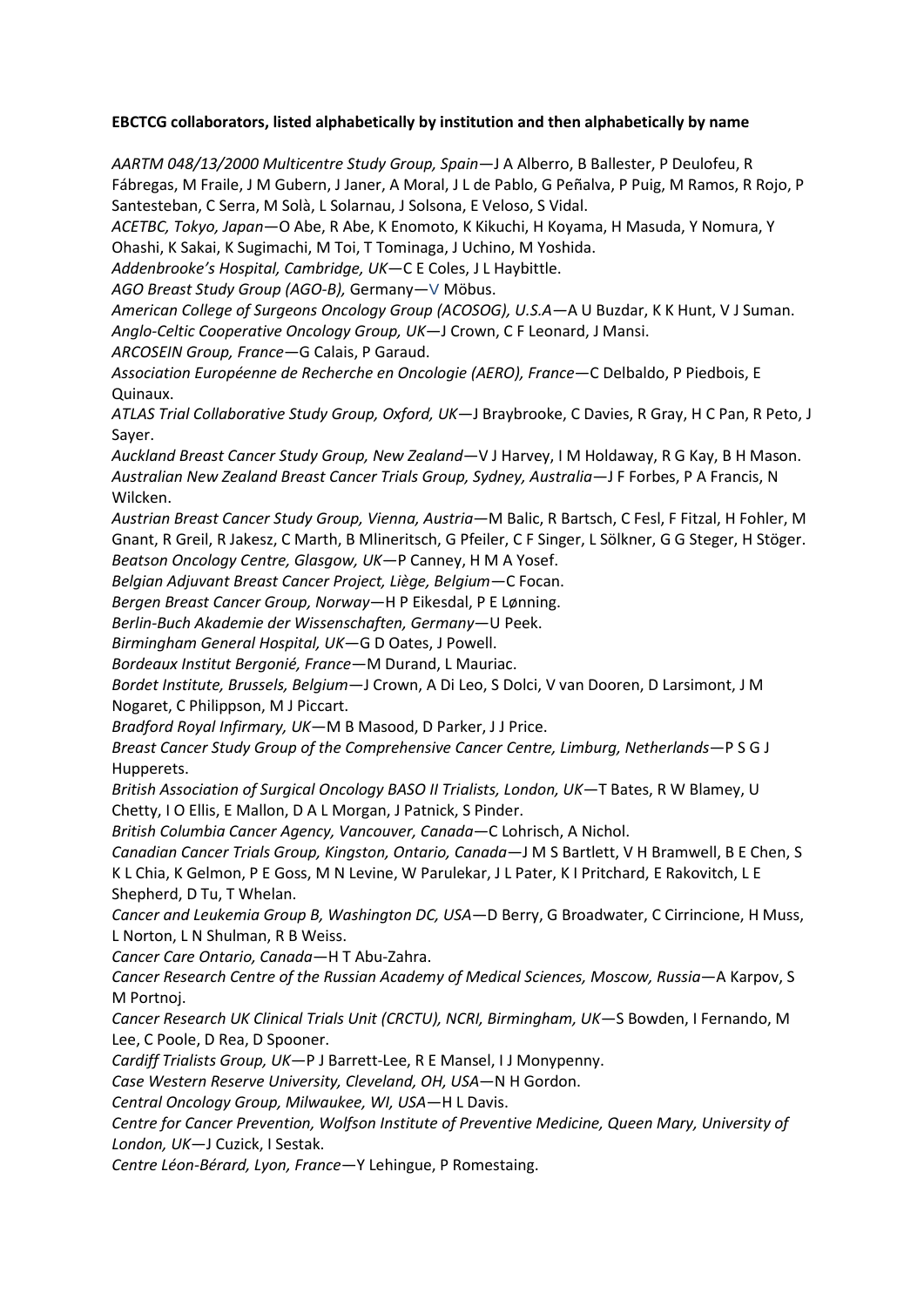## **EBCTCG collaborators, listed alphabetically by institution and then alphabetically by name**

*AARTM 048/13/2000 Multicentre Study Group, Spain*—J A Alberro, B Ballester, P Deulofeu, R Fábregas, M Fraile, J M Gubern, J Janer, A Moral, J L de Pablo, G Peñalva, P Puig, M Ramos, R Rojo, P Santesteban, C Serra, M Solà, L Solarnau, J Solsona, E Veloso, S Vidal.

*ACETBC, Tokyo, Japan*—O Abe, R Abe, K Enomoto, K Kikuchi, H Koyama, H Masuda, Y Nomura, Y Ohashi, K Sakai, K Sugimachi, M Toi, T Tominaga, J Uchino, M Yoshida.

*Addenbrooke's Hospital, Cambridge, UK*—C E Coles, J L Haybittle.

*AGO Breast Study Group (AGO-B),* Germany—V Möbus.

*American College of Surgeons Oncology Group (ACOSOG), U.S.A—*A U Buzdar, K K Hunt, V J Suman. *Anglo-Celtic Cooperative Oncology Group, UK*—J Crown, C F Leonard, J Mansi.

*ARCOSEIN Group, France*—G Calais, P Garaud.

*Association Européenne de Recherche en Oncologie (AERO), France*—C Delbaldo, P Piedbois, E Quinaux.

*ATLAS Trial Collaborative Study Group, Oxford, UK*—J Braybrooke, C Davies, R Gray, H C Pan, R Peto, J Sayer.

*Auckland Breast Cancer Study Group, New Zealand*—V J Harvey, I M Holdaway, R G Kay, B H Mason. *Australian New Zealand Breast Cancer Trials Group, Sydney, Australia*—J F Forbes, P A Francis, N Wilcken.

*Austrian Breast Cancer Study Group, Vienna, Austria—*M Balic, R Bartsch, C Fesl, F Fitzal, H Fohler, M Gnant, R Greil, R Jakesz, C Marth, B Mlineritsch, G Pfeiler, C F Singer, L Sölkner, G G Steger, H Stöger. *Beatson Oncology Centre, Glasgow, UK*—P Canney, H M A Yosef.

*Belgian Adjuvant Breast Cancer Project, Liège, Belgium*—C Focan.

*Bergen Breast Cancer Group, Norway*—H P Eikesdal, P E Lønning.

*Berlin-Buch Akademie der Wissenschaften, Germany*—U Peek.

*Birmingham General Hospital, UK*—G D Oates, J Powell.

*Bordeaux Institut Bergonié, France*—M Durand, L Mauriac.

*Bordet Institute, Brussels, Belgium*—J Crown, A Di Leo, S Dolci, V van Dooren, D Larsimont, J M Nogaret, C Philippson, M J Piccart.

*Bradford Royal Infirmary, UK*—M B Masood, D Parker, J J Price.

*Breast Cancer Study Group of the Comprehensive Cancer Centre, Limburg, Netherlands*—P S G J Hupperets.

*British Association of Surgical Oncology BASO II Trialists, London, UK*—T Bates, R W Blamey, U Chetty, I O Ellis, E Mallon, D A L Morgan, J Patnick, S Pinder.

*British Columbia Cancer Agency, Vancouver, Canada*—C Lohrisch, A Nichol.

*Canadian Cancer Trials Group, Kingston, Ontario, Canada*—J M S Bartlett, V H Bramwell, B E Chen, S K L Chia, K Gelmon, P E Goss, M N Levine, W Parulekar, J L Pater, K I Pritchard, E Rakovitch, L E Shepherd, D Tu, T Whelan.

*Cancer and Leukemia Group B, Washington DC, USA*—D Berry, G Broadwater, C Cirrincione, H Muss, L Norton, L N Shulman, R B Weiss.

*Cancer Care Ontario, Canada*—H T Abu-Zahra.

*Cancer Research Centre of the Russian Academy of Medical Sciences, Moscow, Russia*—A Karpov, S M Portnoj.

*Cancer Research UK Clinical Trials Unit (CRCTU), NCRI, Birmingham, UK*—S Bowden, I Fernando, M Lee, C Poole, D Rea, D Spooner.

*Cardiff Trialists Group, UK*—P J Barrett-Lee, R E Mansel, I J Monypenny.

*Case Western Reserve University, Cleveland, OH, USA*—N H Gordon.

*Central Oncology Group, Milwaukee, WI, USA*—H L Davis.

*Centre for Cancer Prevention, Wolfson Institute of Preventive Medicine, Queen Mary, University of London, UK*—J Cuzick, I Sestak.

*Centre Léon-Bérard, Lyon, France*—Y Lehingue, P Romestaing.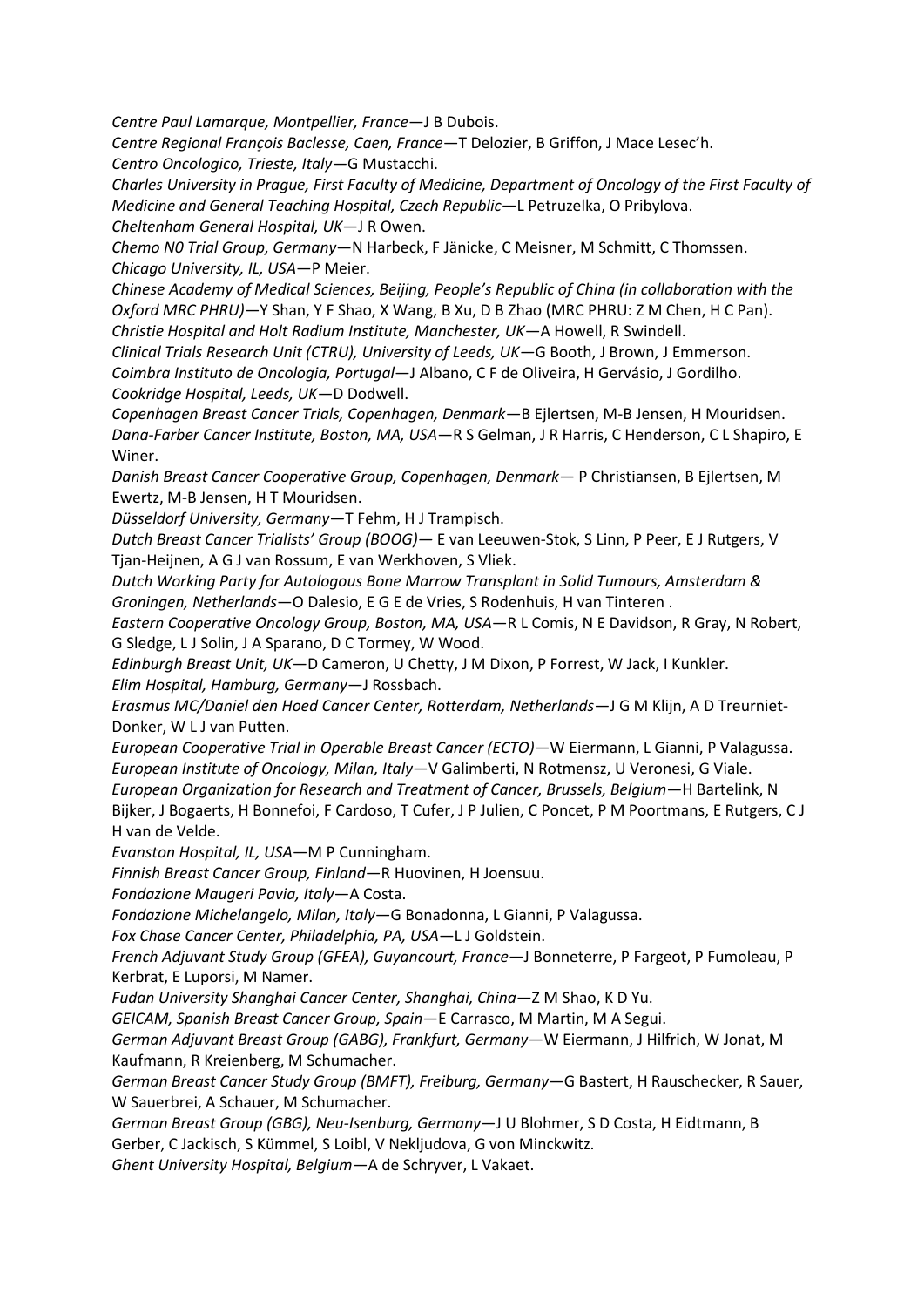*Centre Paul Lamarque, Montpellier, France*—J B Dubois.

*Centre Regional François Baclesse, Caen, France*—T Delozier, B Griffon, J Mace Lesec'h. *Centro Oncologico, Trieste, Italy*—G Mustacchi.

*Charles University in Prague, First Faculty of Medicine, Department of Oncology of the First Faculty of Medicine and General Teaching Hospital, Czech Republic*—L Petruzelka, O Pribylova. *Cheltenham General Hospital, UK*—J R Owen.

*Chemo N0 Trial Group, Germany*—N Harbeck, F Jänicke, C Meisner, M Schmitt, C Thomssen. *Chicago University, IL, USA*—P Meier.

*Chinese Academy of Medical Sciences, Beijing, People's Republic of China (in collaboration with the Oxford MRC PHRU)*—Y Shan, Y F Shao, X Wang, B Xu, D B Zhao (MRC PHRU: Z M Chen, H C Pan). *Christie Hospital and Holt Radium Institute, Manchester, UK*—A Howell, R Swindell.

*Clinical Trials Research Unit (CTRU), University of Leeds, UK—*G Booth, J Brown, J Emmerson. *Coimbra Instituto de Oncologia, Portugal*—J Albano, C F de Oliveira, H Gervásio, J Gordilho. *Cookridge Hospital, Leeds, UK—*D Dodwell.

*Copenhagen Breast Cancer Trials, Copenhagen, Denmark*—B Ejlertsen, M-B Jensen, H Mouridsen. *Dana-Farber Cancer Institute, Boston, MA, USA*—R S Gelman, J R Harris, C Henderson, C L Shapiro, E Winer.

*Danish Breast Cancer Cooperative Group, Copenhagen, Denmark*— P Christiansen, B Ejlertsen, M Ewertz, M-B Jensen, H T Mouridsen.

*Düsseldorf University, Germany*—T Fehm, H J Trampisch.

*Dutch Breast Cancer Trialists' Group (BOOG)—* E van Leeuwen-Stok, S Linn, P Peer, E J Rutgers, V Tjan-Heijnen, A G J van Rossum, E van Werkhoven, S Vliek.

*Dutch Working Party for Autologous Bone Marrow Transplant in Solid Tumours, Amsterdam & Groningen, Netherlands*—O Dalesio, E G E de Vries, S Rodenhuis, H van Tinteren .

*Eastern Cooperative Oncology Group, Boston, MA, USA*—R L Comis, N E Davidson, R Gray, N Robert, G Sledge, L J Solin, J A Sparano, D C Tormey, W Wood.

*Edinburgh Breast Unit, UK*—D Cameron, U Chetty, J M Dixon, P Forrest, W Jack, I Kunkler. *Elim Hospital, Hamburg, Germany*—J Rossbach.

*Erasmus MC/Daniel den Hoed Cancer Center, Rotterdam, Netherlands*—J G M Klijn, A D Treurniet-Donker, W L J van Putten.

*European Cooperative Trial in Operable Breast Cancer (ECTO)*—W Eiermann, L Gianni, P Valagussa. *European Institute of Oncology, Milan, Italy*—V Galimberti, N Rotmensz, U Veronesi, G Viale. *European Organization for Research and Treatment of Cancer, Brussels, Belgium*—H Bartelink, N

Bijker, J Bogaerts, H Bonnefoi, F Cardoso, T Cufer, J P Julien, C Poncet, P M Poortmans, E Rutgers, C J H van de Velde.

*Evanston Hospital, IL, USA*—M P Cunningham.

*Finnish Breast Cancer Group, Finland*—R Huovinen, H Joensuu.

*Fondazione Maugeri Pavia, Italy*—A Costa.

*Fondazione Michelangelo, Milan, Italy*—G Bonadonna, L Gianni, P Valagussa.

*Fox Chase Cancer Center, Philadelphia, PA, USA*—L J Goldstein.

*French Adjuvant Study Group (GFEA), Guyancourt, France*—J Bonneterre, P Fargeot, P Fumoleau, P Kerbrat, E Luporsi, M Namer.

*Fudan University Shanghai Cancer Center, Shanghai, China—*Z M Shao, K D Yu.

*GEICAM, Spanish Breast Cancer Group, Spain*—E Carrasco, M Martin, M A Segui.

*German Adjuvant Breast Group (GABG), Frankfurt, Germany*—W Eiermann, J Hilfrich, W Jonat, M Kaufmann, R Kreienberg, M Schumacher.

*German Breast Cancer Study Group (BMFT), Freiburg, Germany*—G Bastert, H Rauschecker, R Sauer, W Sauerbrei, A Schauer, M Schumacher.

*German Breast Group (GBG), Neu-Isenburg, Germany*—J U Blohmer, S D Costa, H Eidtmann, B Gerber, C Jackisch, S Kümmel, S Loibl, V Nekljudova, G von Minckwitz.

*Ghent University Hospital, Belgium*—A de Schryver, L Vakaet.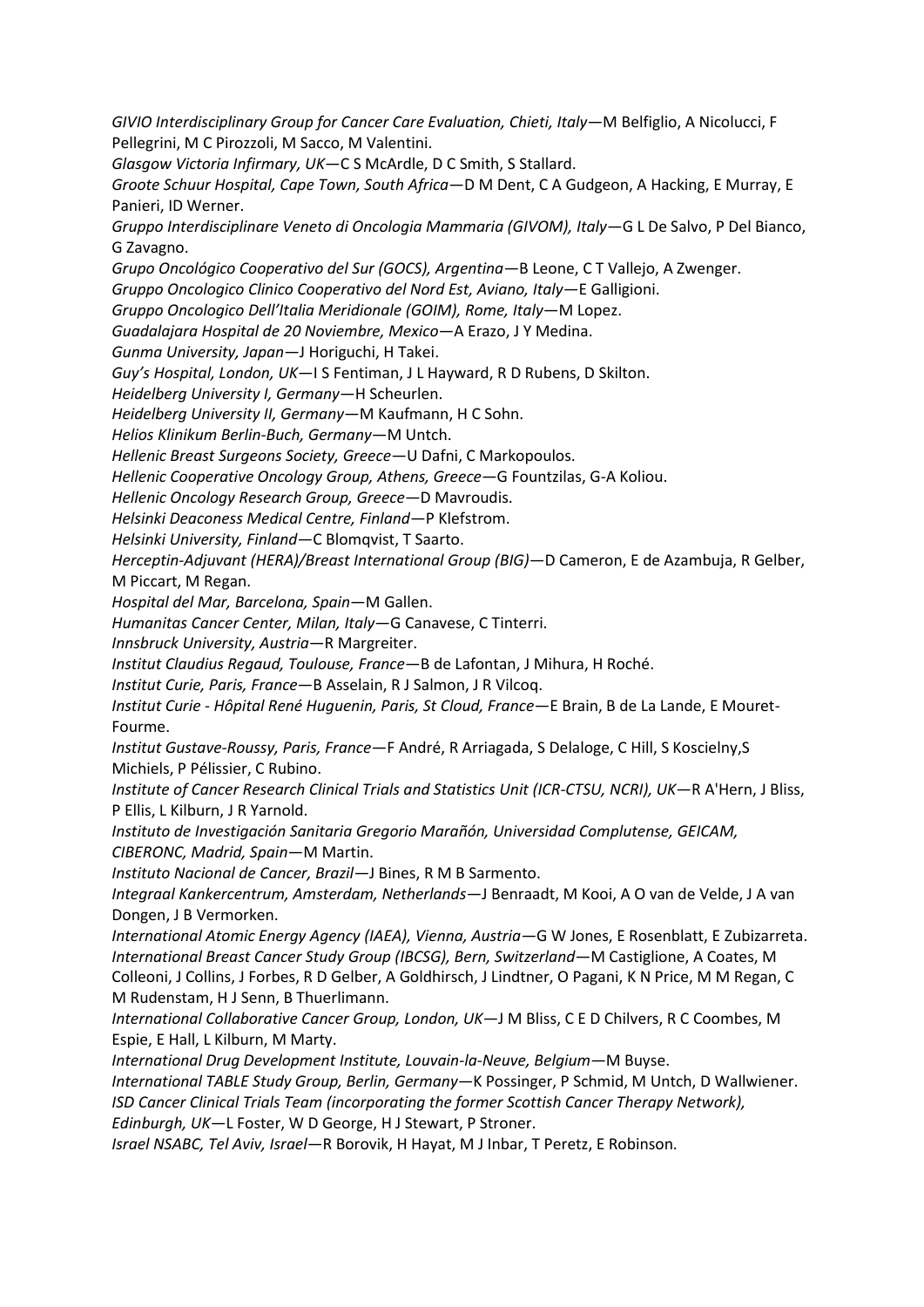*GIVIO Interdisciplinary Group for Cancer Care Evaluation, Chieti, Italy*—M Belfiglio, A Nicolucci, F Pellegrini, M C Pirozzoli, M Sacco, M Valentini.

*Glasgow Victoria Infirmary, UK*—C S McArdle, D C Smith, S Stallard.

*Groote Schuur Hospital, Cape Town, South Africa*—D M Dent, C A Gudgeon, A Hacking, E Murray, E Panieri, ID Werner.

*Gruppo Interdisciplinare Veneto di Oncologia Mammaria (GIVOM), Italy*—G L De Salvo, P Del Bianco, G Zavagno.

*Grupo Oncológico Cooperativo del Sur (GOCS), Argentina—*B Leone, C T Vallejo, A Zwenger.

*Gruppo Oncologico Clinico Cooperativo del Nord Est, Aviano, Italy*—E Galligioni.

*Gruppo Oncologico Dell'Italia Meridionale (GOIM), Rome, Italy*—M Lopez.

*Guadalajara Hospital de 20 Noviembre, Mexico*—A Erazo, J Y Medina.

*Gunma University, Japan*—J Horiguchi, H Takei.

*Guy's Hospital, London, UK*—I S Fentiman, J L Hayward, R D Rubens, D Skilton.

*Heidelberg University I, Germany*—H Scheurlen.

*Heidelberg University II, Germany*—M Kaufmann, H C Sohn.

*Helios Klinikum Berlin-Buch, Germany*—M Untch.

*Hellenic Breast Surgeons Society, Greece*—U Dafni, C Markopoulos.

*Hellenic Cooperative Oncology Group, Athens, Greece*—G Fountzilas, G-A Koliou.

*Hellenic Oncology Research Group, Greece*—D Mavroudis.

*Helsinki Deaconess Medical Centre, Finland*—P Klefstrom.

*Helsinki University, Finland*—C Blomqvist, T Saarto.

*Herceptin-Adjuvant (HERA)/Breast International Group (BIG)*—D Cameron, E de Azambuja, R Gelber, M Piccart, M Regan.

*Hospital del Mar, Barcelona, Spain*—M Gallen.

*Humanitas Cancer Center, Milan, Italy*—G Canavese, C Tinterri.

*Innsbruck University, Austria*—R Margreiter.

*Institut Claudius Regaud, Toulouse, France*—B de Lafontan, J Mihura, H Roché.

*Institut Curie, Paris, France*—B Asselain, R J Salmon, J R Vilcoq.

*Institut Curie - Hôpital René Huguenin, Paris, St Cloud, France*—E Brain, B de La Lande, E Mouret-Fourme.

*Institut Gustave-Roussy, Paris, France*—F André, R Arriagada, S Delaloge, C Hill, S Koscielny,S Michiels, P Pélissier, C Rubino.

*Institute of Cancer Research Clinical Trials and Statistics Unit (ICR-CTSU, NCRI), UK*—R A'Hern, J Bliss, P Ellis, L Kilburn, J R Yarnold.

*Instituto de Investigación Sanitaria Gregorio Marañón, Universidad Complutense, GEICAM, CIBERONC, Madrid, Spain*—M Martin.

*Instituto Nacional de Cancer, Brazil—*J Bines, R M B Sarmento.

*Integraal Kankercentrum, Amsterdam, Netherlands*—J Benraadt, M Kooi, A O van de Velde, J A van Dongen, J B Vermorken.

*International Atomic Energy Agency (IAEA), Vienna, Austria—*G W Jones, E Rosenblatt, E Zubizarreta. *International Breast Cancer Study Group (IBCSG), Bern, Switzerland*—M Castiglione, A Coates, M Colleoni, J Collins, J Forbes, R D Gelber, A Goldhirsch, J Lindtner, O Pagani, K N Price, M M Regan, C M Rudenstam, H J Senn, B Thuerlimann.

*International Collaborative Cancer Group, London, UK*—J M Bliss, C E D Chilvers, R C Coombes, M Espie, E Hall, L Kilburn, M Marty.

*International Drug Development Institute, Louvain-la-Neuve, Belgium*—M Buyse.

*International TABLE Study Group, Berlin, Germany*—K Possinger, P Schmid, M Untch, D Wallwiener. *ISD Cancer Clinical Trials Team (incorporating the former Scottish Cancer Therapy Network), Edinburgh, UK*—L Foster, W D George, H J Stewart, P Stroner.

*Israel NSABC, Tel Aviv, Israel*—R Borovik, H Hayat, M J Inbar, T Peretz, E Robinson.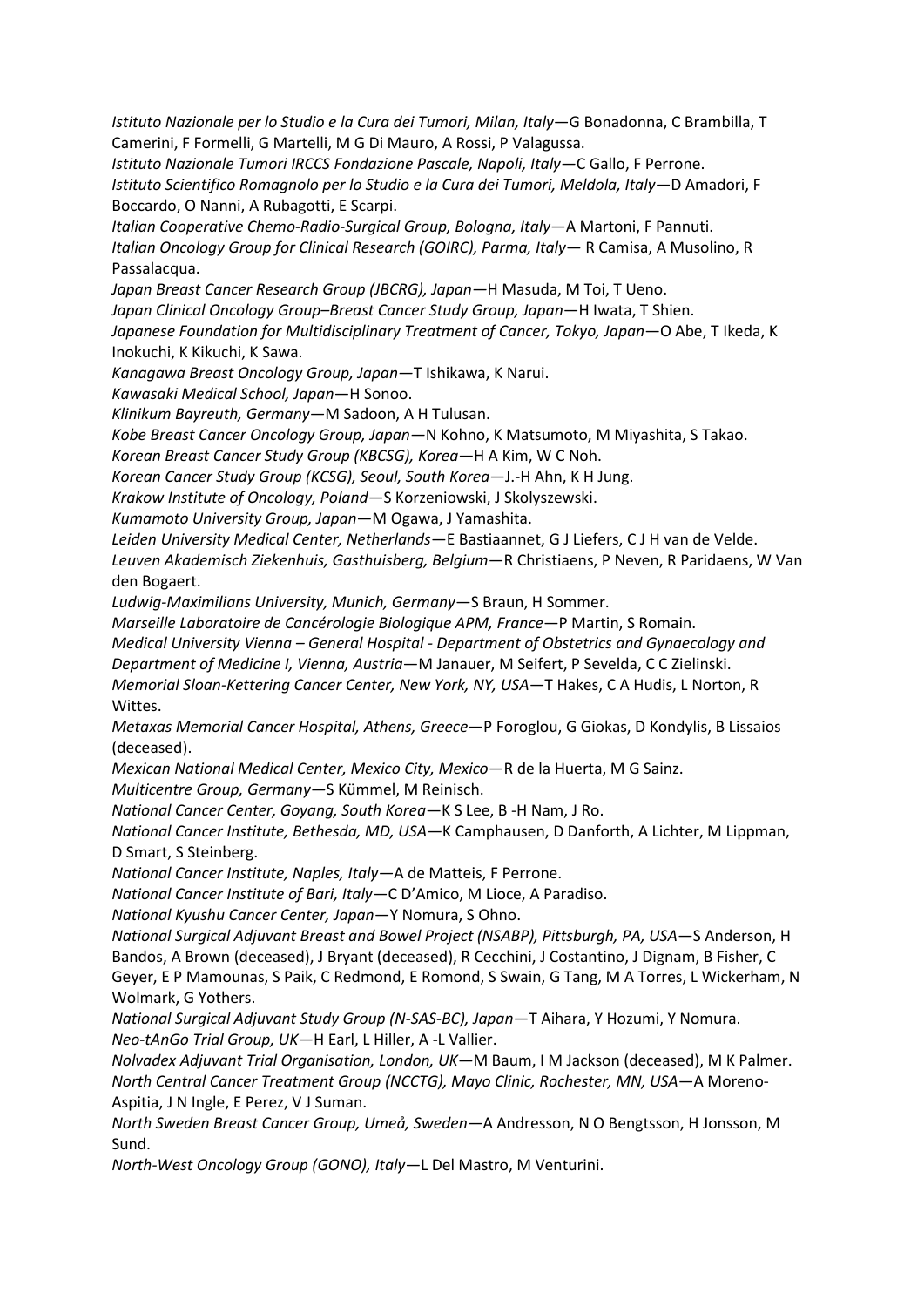*Istituto Nazionale per lo Studio e la Cura dei Tumori, Milan, Italy*—G Bonadonna, C Brambilla, T Camerini, F Formelli, G Martelli, M G Di Mauro, A Rossi, P Valagussa.

*Istituto Nazionale Tumori IRCCS Fondazione Pascale, Napoli, Italy—*C Gallo, F Perrone. *Istituto Scientifico Romagnolo per lo Studio e la Cura dei Tumori, Meldola, Italy—*D Amadori, F Boccardo, O Nanni, A Rubagotti, E Scarpi.

*Italian Cooperative Chemo-Radio-Surgical Group, Bologna, Italy*—A Martoni, F Pannuti. *Italian Oncology Group for Clinical Research (GOIRC), Parma, Italy*— R Camisa, A Musolino, R Passalacqua.

*Japan Breast Cancer Research Group (JBCRG), Japan—*H Masuda, M Toi, T Ueno.

*Japan Clinical Oncology Group–Breast Cancer Study Group, Japan*—H Iwata, T Shien.

Japanese Foundation for Multidisciplinary Treatment of Cancer, Tokyo, Japan-O Abe, T Ikeda, K Inokuchi, K Kikuchi, K Sawa.

*Kanagawa Breast Oncology Group, Japan—*T Ishikawa, K Narui.

*Kawasaki Medical School, Japan*—H Sonoo.

*Klinikum Bayreuth, Germany—*M Sadoon, A H Tulusan.

*Kobe Breast Cancer Oncology Group, Japan—*N Kohno, K Matsumoto, M Miyashita, S Takao.

*Korean Breast Cancer Study Group (KBCSG), Korea—*H A Kim, W C Noh.

*Korean Cancer Study Group (KCSG), Seoul, South Korea*—J.-H Ahn, K H Jung.

*Krakow Institute of Oncology, Poland*—S Korzeniowski, J Skolyszewski.

*Kumamoto University Group, Japan*—M Ogawa, J Yamashita.

*Leiden University Medical Center, Netherlands*—E Bastiaannet, G J Liefers, C J H van de Velde.

*Leuven Akademisch Ziekenhuis, Gasthuisberg, Belgium*—R Christiaens, P Neven, R Paridaens, W Van den Bogaert.

*Ludwig-Maximilians University, Munich, Germany*—S Braun, H Sommer.

*Marseille Laboratoire de Cancérologie Biologique APM, France*—P Martin, S Romain.

*Medical University Vienna – General Hospital - Department of Obstetrics and Gynaecology and* 

*Department of Medicine I, Vienna, Austria*—M Janauer, M Seifert, P Sevelda, C C Zielinski.

*Memorial Sloan-Kettering Cancer Center, New York, NY, USA*—T Hakes, C A Hudis, L Norton, R Wittes.

*Metaxas Memorial Cancer Hospital, Athens, Greece*—P Foroglou, G Giokas, D Kondylis, B Lissaios (deceased).

*Mexican National Medical Center, Mexico City, Mexico*—R de la Huerta, M G Sainz.

*Multicentre Group, Germany—*S Kümmel, M Reinisch.

*National Cancer Center, Goyang, South Korea*—K S Lee, B -H Nam, J Ro.

*National Cancer Institute, Bethesda, MD, USA—*K Camphausen, D Danforth, A Lichter, M Lippman, D Smart, S Steinberg.

*National Cancer Institute, Naples, Italy—*A de Matteis, F Perrone.

*National Cancer Institute of Bari, Italy*—C D'Amico, M Lioce, A Paradiso.

*National Kyushu Cancer Center, Japan*—Y Nomura, S Ohno.

*National Surgical Adjuvant Breast and Bowel Project (NSABP), Pittsburgh, PA, USA*—S Anderson, H Bandos, A Brown (deceased), J Bryant (deceased), R Cecchini, J Costantino, J Dignam, B Fisher, C Geyer, E P Mamounas, S Paik, C Redmond, E Romond, S Swain, G Tang, M A Torres, L Wickerham, N Wolmark, G Yothers.

*National Surgical Adjuvant Study Group (N-SAS-BC), Japan*—T Aihara, Y Hozumi, Y Nomura. *Neo-tAnGo Trial Group, UK—*H Earl, L Hiller, A -L Vallier.

*Nolvadex Adjuvant Trial Organisation, London, UK*—M Baum, I M Jackson (deceased), M K Palmer. *North Central Cancer Treatment Group (NCCTG), Mayo Clinic, Rochester, MN, USA*—A Moreno-Aspitia, J N Ingle, E Perez, V J Suman.

*North Sweden Breast Cancer Group, Umeå, Sweden*—A Andresson, N O Bengtsson, H Jonsson, M Sund.

*North-West Oncology Group (GONO), Italy*—L Del Mastro, M Venturini.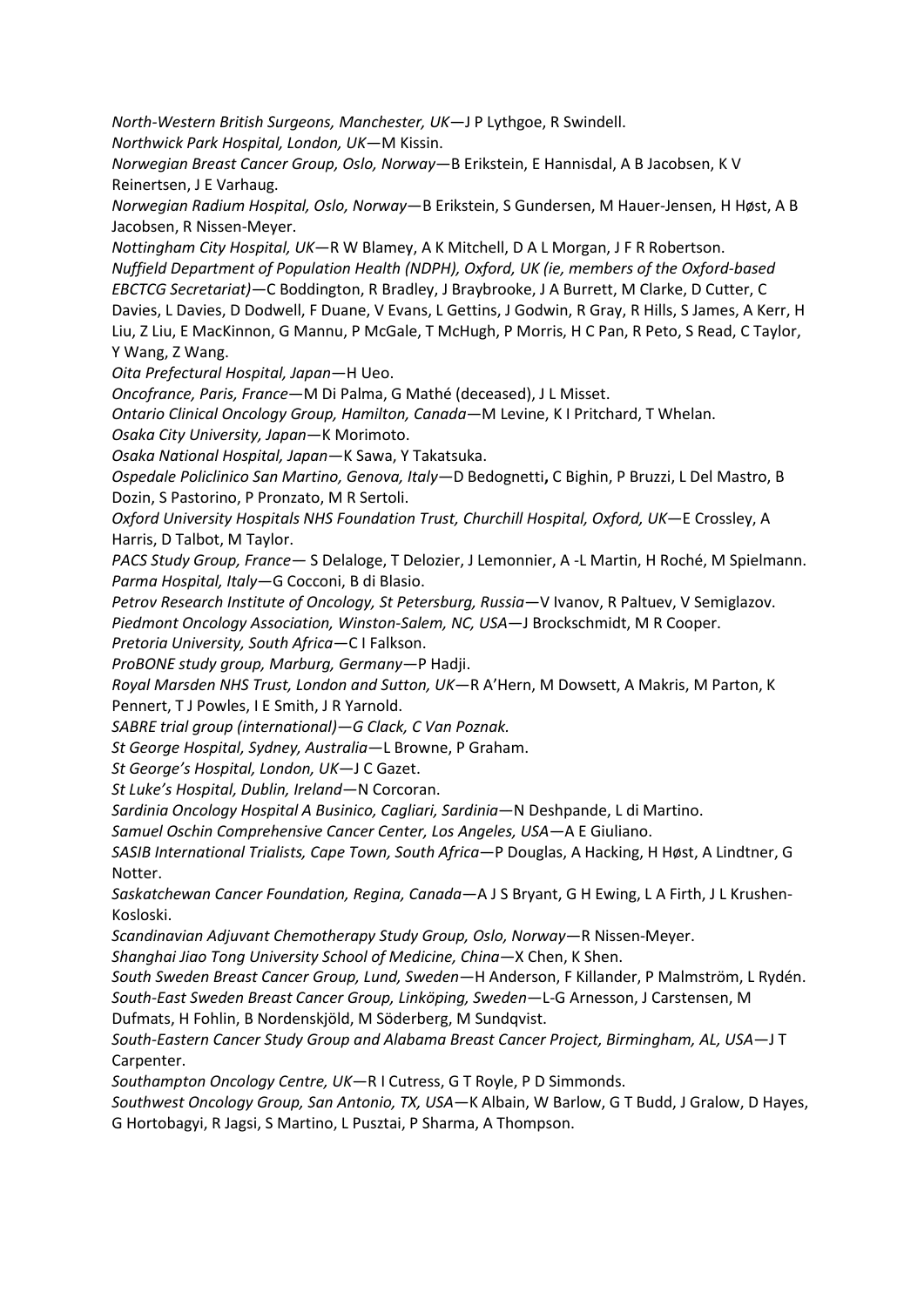*North-Western British Surgeons, Manchester, UK*—J P Lythgoe, R Swindell.

*Northwick Park Hospital, London, UK*—M Kissin.

*Norwegian Breast Cancer Group, Oslo, Norway*—B Erikstein, E Hannisdal, A B Jacobsen, K V Reinertsen, J E Varhaug.

*Norwegian Radium Hospital, Oslo, Norway*—B Erikstein, S Gundersen, M Hauer-Jensen, H Høst, A B Jacobsen, R Nissen-Meyer.

*Nottingham City Hospital, UK*—R W Blamey, A K Mitchell, D A L Morgan, J F R Robertson. *Nuffield Department of Population Health (NDPH), Oxford, UK (ie, members of the Oxford-based EBCTCG Secretariat)*—C Boddington, R Bradley, J Braybrooke, J A Burrett, M Clarke, D Cutter, C Davies, L Davies, D Dodwell, F Duane, V Evans, L Gettins, J Godwin, R Gray, R Hills, S James, A Kerr, H Liu, Z Liu, E MacKinnon, G Mannu, P McGale, T McHugh, P Morris, H C Pan, R Peto, S Read, C Taylor, Y Wang, Z Wang.

*Oita Prefectural Hospital, Japan*—H Ueo.

*Oncofrance, Paris, France*—M Di Palma, G Mathé (deceased), J L Misset.

*Ontario Clinical Oncology Group, Hamilton, Canada*—M Levine, K I Pritchard, T Whelan.

*Osaka City University, Japan*—K Morimoto.

*Osaka National Hospital, Japan*—K Sawa, Y Takatsuka.

*Ospedale Policlinico San Martino, Genova, Italy—*D Bedognetti**,** C Bighin, P Bruzzi, L Del Mastro, B Dozin, S Pastorino, P Pronzato, M R Sertoli.

*Oxford University Hospitals NHS Foundation Trust, Churchill Hospital, Oxford, UK*—E Crossley, A Harris, D Talbot, M Taylor.

*PACS Study Group, France—* S Delaloge, T Delozier, J Lemonnier, A -L Martin, H Roché, M Spielmann. *Parma Hospital, Italy*—G Cocconi, B di Blasio.

*Petrov Research Institute of Oncology, St Petersburg, Russia*—V Ivanov, R Paltuev, V Semiglazov. *Piedmont Oncology Association, Winston-Salem, NC, USA*—J Brockschmidt, M R Cooper.

*Pretoria University, South Africa*—C I Falkson.

*ProBONE study group, Marburg, Germany—*P Hadji.

*Royal Marsden NHS Trust, London and Sutton, UK*—R A'Hern, M Dowsett, A Makris, M Parton, K Pennert, T J Powles, I E Smith, J R Yarnold.

*SABRE trial group (international)—G Clack, C Van Poznak.*

*St George Hospital, Sydney, Australia*—L Browne, P Graham.

*St George's Hospital, London, UK*—J C Gazet.

*St Luke's Hospital, Dublin, Ireland*—N Corcoran.

*Sardinia Oncology Hospital A Businico, Cagliari, Sardinia*—N Deshpande, L di Martino.

*Samuel Oschin Comprehensive Cancer Center, Los Angeles, USA—*A E Giuliano.

*SASIB International Trialists, Cape Town, South Africa*—P Douglas, A Hacking, H Høst, A Lindtner, G Notter.

*Saskatchewan Cancer Foundation, Regina, Canada*—A J S Bryant, G H Ewing, L A Firth, J L Krushen-Kosloski.

*Scandinavian Adjuvant Chemotherapy Study Group, Oslo, Norway*—R Nissen-Meyer.

*Shanghai Jiao Tong University School of Medicine, China—*X Chen, K Shen.

*South Sweden Breast Cancer Group, Lund, Sweden*—H Anderson, F Killander, P Malmström, L Rydén. *South-East Sweden Breast Cancer Group, Linköping, Sweden*—L-G Arnesson, J Carstensen, M

Dufmats, H Fohlin, B Nordenskjöld, M Söderberg, M Sundqvist.

*South-Eastern Cancer Study Group and Alabama Breast Cancer Project, Birmingham, AL, USA*—J T Carpenter.

*Southampton Oncology Centre, UK*—R I Cutress, G T Royle, P D Simmonds.

*Southwest Oncology Group, San Antonio, TX, USA*—K Albain, W Barlow, G T Budd, J Gralow, D Hayes, G Hortobagyi, R Jagsi, S Martino, L Pusztai, P Sharma, A Thompson.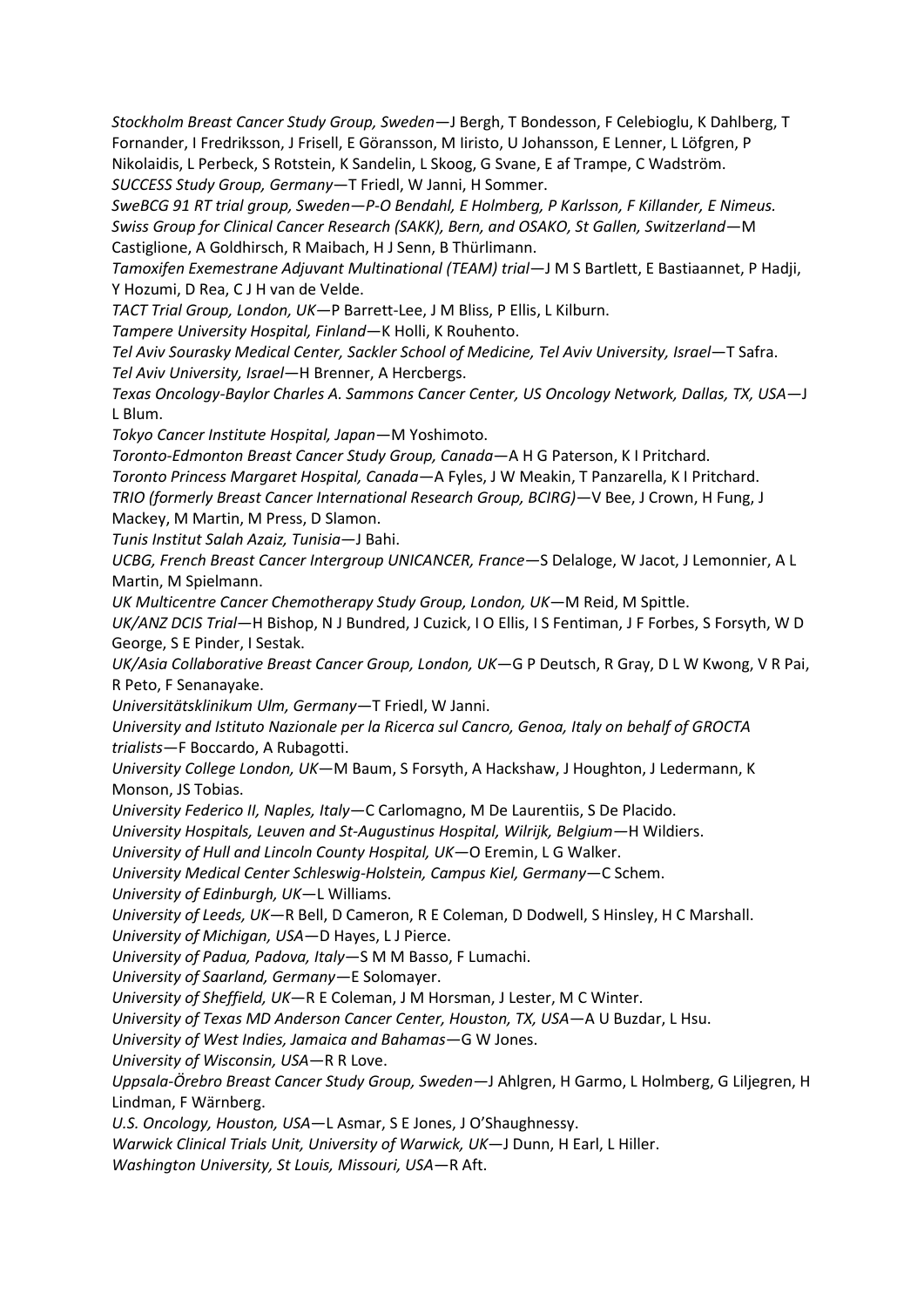*Stockholm Breast Cancer Study Group, Sweden*—J Bergh, T Bondesson, F Celebioglu, K Dahlberg, T Fornander, I Fredriksson, J Frisell, E Göransson, M Iiristo, U Johansson, E Lenner, L Löfgren, P Nikolaidis, L Perbeck, S Rotstein, K Sandelin, L Skoog, G Svane, E af Trampe, C Wadström. *SUCCESS Study Group, Germany*—T Friedl, W Janni, H Sommer.

*SweBCG 91 RT trial group, Sweden—P-O Bendahl, E Holmberg, P Karlsson, F Killander, E Nimeus. Swiss Group for Clinical Cancer Research (SAKK), Bern, and OSAKO, St Gallen, Switzerland*—M Castiglione, A Goldhirsch, R Maibach, H J Senn, B Thürlimann.

*Tamoxifen Exemestrane Adjuvant Multinational (TEAM) trial*—J M S Bartlett, E Bastiaannet, P Hadji, Y Hozumi, D Rea, C J H van de Velde.

*TACT Trial Group, London, UK—*P Barrett-Lee, J M Bliss, P Ellis, L Kilburn.

*Tampere University Hospital, Finland*—K Holli, K Rouhento.

*Tel Aviv Sourasky Medical Center, Sackler School of Medicine, Tel Aviv University, Israel*—T Safra. *Tel Aviv University, Israel*—H Brenner, A Hercbergs.

*Texas Oncology-Baylor Charles A. Sammons Cancer Center, US Oncology Network, Dallas, TX, USA—*J L Blum.

*Tokyo Cancer Institute Hospital, Japan*—M Yoshimoto.

*Toronto-Edmonton Breast Cancer Study Group, Canada*—A H G Paterson, K I Pritchard.

*Toronto Princess Margaret Hospital, Canada*—A Fyles, J W Meakin, T Panzarella, K I Pritchard.

*TRIO (formerly Breast Cancer International Research Group, BCIRG)*—V Bee, J Crown, H Fung, J Mackey, M Martin, M Press, D Slamon.

*Tunis Institut Salah Azaiz, Tunisia*—J Bahi.

*UCBG, French Breast Cancer Intergroup UNICANCER, France—*S Delaloge, W Jacot, J Lemonnier, A L Martin, M Spielmann.

*UK Multicentre Cancer Chemotherapy Study Group, London, UK*—M Reid, M Spittle.

*UK/ANZ DCIS Trial*—H Bishop, N J Bundred, J Cuzick, I O Ellis, I S Fentiman, J F Forbes, S Forsyth, W D George, S E Pinder, I Sestak.

*UK/Asia Collaborative Breast Cancer Group, London, UK*—G P Deutsch, R Gray, D L W Kwong, V R Pai, R Peto, F Senanayake.

*Universitätsklinikum Ulm, Germany—*T Friedl, W Janni.

*University and Istituto Nazionale per la Ricerca sul Cancro, Genoa, Italy on behalf of GROCTA trialists*—F Boccardo, A Rubagotti.

*University College London, UK*—M Baum, S Forsyth, A Hackshaw, J Houghton, J Ledermann, K Monson, JS Tobias.

*University Federico II, Naples, Italy*—C Carlomagno, M De Laurentiis, S De Placido.

*University Hospitals, Leuven and St-Augustinus Hospital, Wilrijk, Belgium—*H Wildiers.

*University of Hull and Lincoln County Hospital, UK—*O Eremin, L G Walker.

*University Medical Center Schleswig-Holstein, Campus Kiel, Germany*—C Schem.

*University of Edinburgh, UK*—L Williams.

*University of Leeds, UK*—R Bell, D Cameron, R E Coleman, D Dodwell, S Hinsley, H C Marshall. *University of Michigan, USA*—D Hayes, L J Pierce.

*University of Padua, Padova, Italy*—S M M Basso, F Lumachi.

*University of Saarland, Germany—*E Solomayer.

*University of Sheffield, UK*—R E Coleman, J M Horsman, J Lester, M C Winter.

*University of Texas MD Anderson Cancer Center, Houston, TX, USA*—A U Buzdar, L Hsu.

*University of West Indies, Jamaica and Bahamas*—G W Jones.

*University of Wisconsin, USA*—R R Love.

*Uppsala-Örebro Breast Cancer Study Group, Sweden*—J Ahlgren, H Garmo, L Holmberg, G Liljegren, H Lindman, F Wärnberg.

*U.S. Oncology, Houston, USA*—L Asmar, S E Jones, J O'Shaughnessy.

*Warwick Clinical Trials Unit, University of Warwick, UK*—J Dunn, H Earl, L Hiller.

*Washington University, St Louis, Missouri, USA*—R Aft.